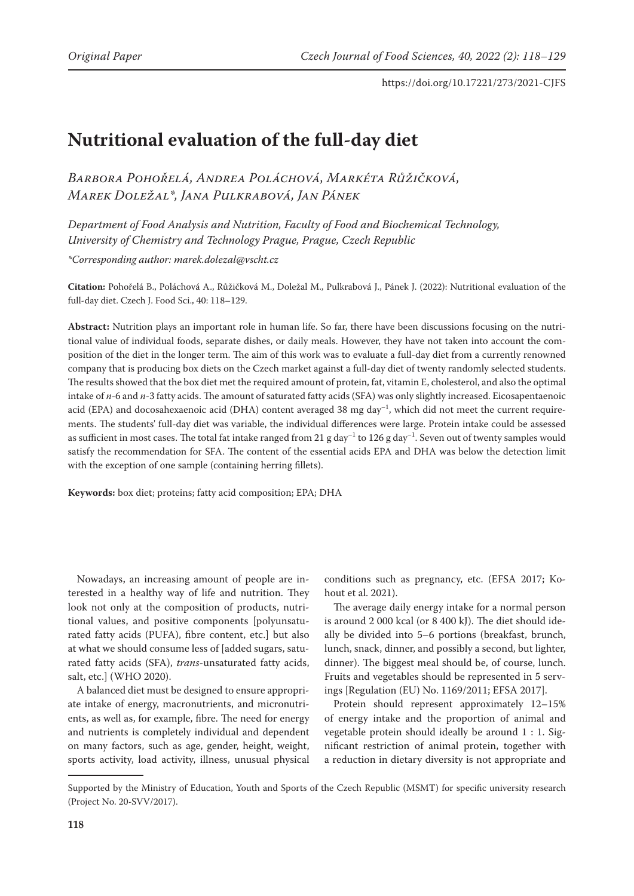# **Nutritional evaluation of the full-day diet**

*Barbora Pohořelá, Andrea Poláchová, Markéta Růžičková, Marek Doležal\*, Jana Pulkrabová, Jan Pánek*

*Department of Food Analysis and Nutrition, Faculty of Food and Biochemical Technology, University of Chemistry and Technology Prague, Prague, Czech Republic*

*\*Corresponding author: marek.dolezal@vscht.cz*

**Citation:** Pohořelá B., Poláchová A., Růžičková M., Doležal M., Pulkrabová J., Pánek J. (2022): Nutritional evaluation of the full-day diet. Czech J. Food Sci., 40: 118–129.

**Abstract:** Nutrition plays an important role in human life. So far, there have been discussions focusing on the nutritional value of individual foods, separate dishes, or daily meals. However, they have not taken into account the composition of the diet in the longer term. The aim of this work was to evaluate a full-day diet from a currently renowned company that is producing box diets on the Czech market against a full-day diet of twenty randomly selected students. The results showed that the box diet met the required amount of protein, fat, vitamin E, cholesterol, and also the optimal intake of *n*-6 and *n*-3 fatty acids. The amount of saturated fatty acids (SFA) was only slightly increased. Eicosapentaenoic acid (EPA) and docosahexaenoic acid (DHA) content averaged 38 mg day<sup>-1</sup>, which did not meet the current requirements. The students' full-day diet was variable, the individual differences were large. Protein intake could be assessed as sufficient in most cases. The total fat intake ranged from 21 g day<sup>-1</sup> to 126 g day<sup>-1</sup>. Seven out of twenty samples would satisfy the recommendation for SFA. The content of the essential acids EPA and DHA was below the detection limit with the exception of one sample (containing herring fillets).

**Keywords:** box diet; proteins; fatty acid composition; EPA; DHA

Nowadays, an increasing amount of people are interested in a healthy way of life and nutrition. They look not only at the composition of products, nutritional values, and positive components [polyunsaturated fatty acids (PUFA), fibre content, etc.] but also at what we should consume less of [added sugars, saturated fatty acids (SFA), *trans*-unsaturated fatty acids, salt, etc.] (WHO 2020).

A balanced diet must be designed to ensure appropriate intake of energy, macronutrients, and micronutrients, as well as, for example, fibre. The need for energy and nutrients is completely individual and dependent on many factors, such as age, gender, height, weight, sports activity, load activity, illness, unusual physical

conditions such as pregnancy, etc. (EFSA 2017; Kohout et al. 2021).

The average daily energy intake for a normal person is around 2 000 kcal (or 8 400 kJ). The diet should ideally be divided into 5–6 portions (breakfast, brunch, lunch, snack, dinner, and possibly a second, but lighter, dinner). The biggest meal should be, of course, lunch. Fruits and vegetables should be represented in 5 servings [Regulation (EU) No. 1169/2011; EFSA 2017].

Protein should represent approximately 12–15% of energy intake and the proportion of animal and vegetable protein should ideally be around 1 : 1. Significant restriction of animal protein, together with a reduction in dietary diversity is not appropriate and

Supported by the Ministry of Education, Youth and Sports of the Czech Republic (MSMT) for specific university research (Project No. 20-SVV/2017).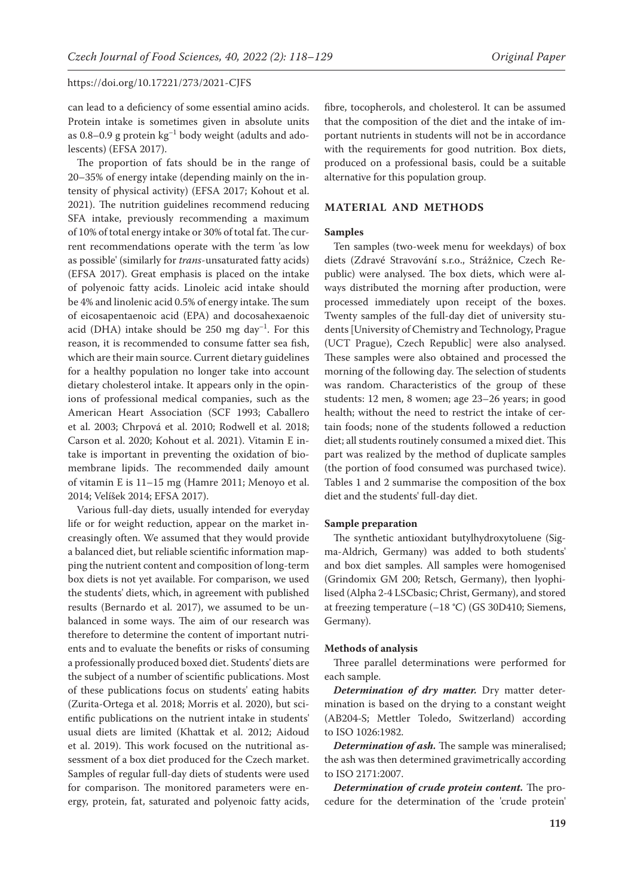can lead to a deficiency of some essential amino acids. Protein intake is sometimes given in absolute units as  $0.8-0.9$  g protein  $\text{kg}^{-1}$  body weight (adults and adolescents) (EFSA 2017).

The proportion of fats should be in the range of 20–35% of energy intake (depending mainly on the intensity of physical activity) (EFSA 2017; Kohout et al. 2021). The nutrition guidelines recommend reducing SFA intake, previously recommending a maximum of 10% of total energy intake or 30% of total fat. The current recommendations operate with the term 'as low as possible' (similarly for *trans*-unsaturated fatty acids) (EFSA 2017). Great emphasis is placed on the intake of polyenoic fatty acids. Linoleic acid intake should be 4% and linolenic acid 0.5% of energy intake. The sum of eicosapentaenoic acid (EPA) and docosahexaenoic acid (DHA) intake should be 250 mg day<sup>-1</sup>. For this reason, it is recommended to consume fatter sea fish, which are their main source. Current dietary guidelines for a healthy population no longer take into account dietary cholesterol intake. It appears only in the opinions of professional medical companies, such as the American Heart Association (SCF 1993; Caballero et al. 2003; Chrpová et al. 2010; Rodwell et al. 2018; Carson et al. 2020; Kohout et al. 2021). Vitamin E intake is important in preventing the oxidation of biomembrane lipids. The recommended daily amount of vitamin E is 11–15 mg (Hamre 2011; Menoyo et al. 2014; Velíšek 2014; EFSA 2017).

Various full-day diets, usually intended for everyday life or for weight reduction, appear on the market increasingly often. We assumed that they would provide a balanced diet, but reliable scientific information mapping the nutrient content and composition of long-term box diets is not yet available. For comparison, we used the students' diets, which, in agreement with published results (Bernardo et al. 2017), we assumed to be unbalanced in some ways. The aim of our research was therefore to determine the content of important nutrients and to evaluate the benefits or risks of consuming a professionally produced boxed diet. Students' diets are the subject of a number of scientific publications. Most of these publications focus on students' eating habits (Zurita-Ortega et al. 2018; Morris et al. 2020), but scientific publications on the nutrient intake in students' usual diets are limited (Khattak et al. 2012; Aidoud et al. 2019). This work focused on the nutritional assessment of a box diet produced for the Czech market. Samples of regular full-day diets of students were used for comparison. The monitored parameters were energy, protein, fat, saturated and polyenoic fatty acids,

fibre, tocopherols, and cholesterol. It can be assumed that the composition of the diet and the intake of important nutrients in students will not be in accordance with the requirements for good nutrition. Box diets, produced on a professional basis, could be a suitable alternative for this population group.

#### **MATERIAL AND METHODS**

#### **Samples**

Ten samples (two-week menu for weekdays) of box diets (Zdravé Stravování s.r.o., Strážnice, Czech Republic) were analysed. The box diets, which were always distributed the morning after production, were processed immediately upon receipt of the boxes. Twenty samples of the full-day diet of university students [University of Chemistry and Technology, Prague (UCT Prague), Czech Republic] were also analysed. These samples were also obtained and processed the morning of the following day. The selection of students was random. Characteristics of the group of these students: 12 men, 8 women; age 23–26 years; in good health; without the need to restrict the intake of certain foods; none of the students followed a reduction diet; all students routinely consumed a mixed diet. This part was realized by the method of duplicate samples (the portion of food consumed was purchased twice). Tables 1 and 2 summarise the composition of the box diet and the students' full-day diet.

#### **Sample preparation**

The synthetic antioxidant butylhydroxytoluene (Sigma-Aldrich, Germany) was added to both students' and box diet samples. All samples were homogenised (Grindomix GM 200; Retsch, Germany), then lyophilised (Alpha 2-4 LSCbasic; Christ, Germany), and stored at freezing temperature (–18 °C) (GS 30D410; Siemens, Germany).

#### **Methods of analysis**

Three parallel determinations were performed for each sample.

*Determination of dry matter.* Dry matter determination is based on the drying to a constant weight (AB204-S; Mettler Toledo, Switzerland) according to ISO 1026:1982.

*Determination of ash.* The sample was mineralised; the ash was then determined gravimetrically according to ISO 2171:2007.

*Determination of crude protein content.* The procedure for the determination of the 'crude protein'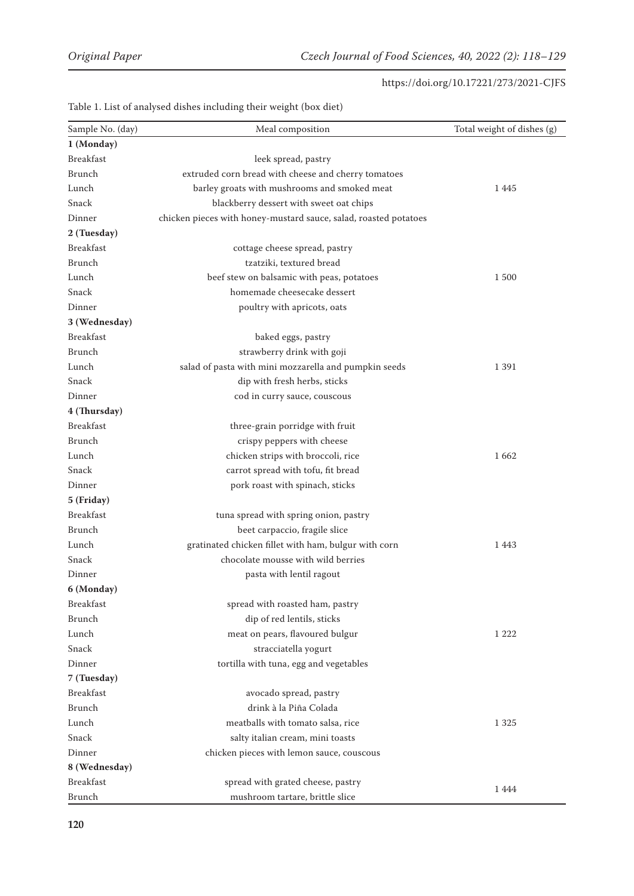| Sample No. (day) | Meal composition                                                 | Total weight of dishes (g) |
|------------------|------------------------------------------------------------------|----------------------------|
| 1 (Monday)       |                                                                  |                            |
| <b>Breakfast</b> | leek spread, pastry                                              |                            |
| Brunch           | extruded corn bread with cheese and cherry tomatoes              |                            |
| Lunch            | barley groats with mushrooms and smoked meat                     | 1445                       |
| Snack            | blackberry dessert with sweet oat chips                          |                            |
| Dinner           | chicken pieces with honey-mustard sauce, salad, roasted potatoes |                            |
| 2 (Tuesday)      |                                                                  |                            |
| <b>Breakfast</b> | cottage cheese spread, pastry                                    |                            |
| Brunch           | tzatziki, textured bread                                         |                            |
| Lunch            | beef stew on balsamic with peas, potatoes                        | 1500                       |
| Snack            | homemade cheesecake dessert                                      |                            |
| Dinner           | poultry with apricots, oats                                      |                            |
| 3 (Wednesday)    |                                                                  |                            |
| <b>Breakfast</b> | baked eggs, pastry                                               |                            |
| <b>Brunch</b>    | strawberry drink with goji                                       |                            |
| Lunch            | salad of pasta with mini mozzarella and pumpkin seeds            | 1 3 9 1                    |
| Snack            | dip with fresh herbs, sticks                                     |                            |
| Dinner           | cod in curry sauce, couscous                                     |                            |
| 4 (Thursday)     |                                                                  |                            |
| <b>Breakfast</b> | three-grain porridge with fruit                                  |                            |
| Brunch           | crispy peppers with cheese                                       |                            |
| Lunch            | chicken strips with broccoli, rice                               | 1662                       |
| Snack            | carrot spread with tofu, fit bread                               |                            |
| Dinner           | pork roast with spinach, sticks                                  |                            |
| 5 (Friday)       |                                                                  |                            |
| <b>Breakfast</b> | tuna spread with spring onion, pastry                            |                            |
| Brunch           | beet carpaccio, fragile slice                                    |                            |
| Lunch            | gratinated chicken fillet with ham, bulgur with corn             | 1443                       |
| Snack            | chocolate mousse with wild berries                               |                            |
| Dinner           | pasta with lentil ragout                                         |                            |
| 6 (Monday)       |                                                                  |                            |
| <b>Breakfast</b> | spread with roasted ham, pastry                                  |                            |
| Brunch           | dip of red lentils, sticks                                       |                            |
| Lunch            | meat on pears, flavoured bulgur                                  | 1 2 2 2                    |
| Snack            | stracciatella yogurt                                             |                            |
| Dinner           | tortilla with tuna, egg and vegetables                           |                            |
| 7 (Tuesday)      |                                                                  |                            |
| <b>Breakfast</b> | avocado spread, pastry                                           |                            |
| Brunch           | drink à la Piña Colada                                           |                            |
| Lunch            | meatballs with tomato salsa, rice                                | 1 3 2 5                    |
| Snack            | salty italian cream, mini toasts                                 |                            |
| Dinner           | chicken pieces with lemon sauce, couscous                        |                            |
| 8 (Wednesday)    |                                                                  |                            |
| <b>Breakfast</b> | spread with grated cheese, pastry                                |                            |
| Brunch           | mushroom tartare, brittle slice                                  | 1444                       |

Table 1. List of analysed dishes including their weight (box diet)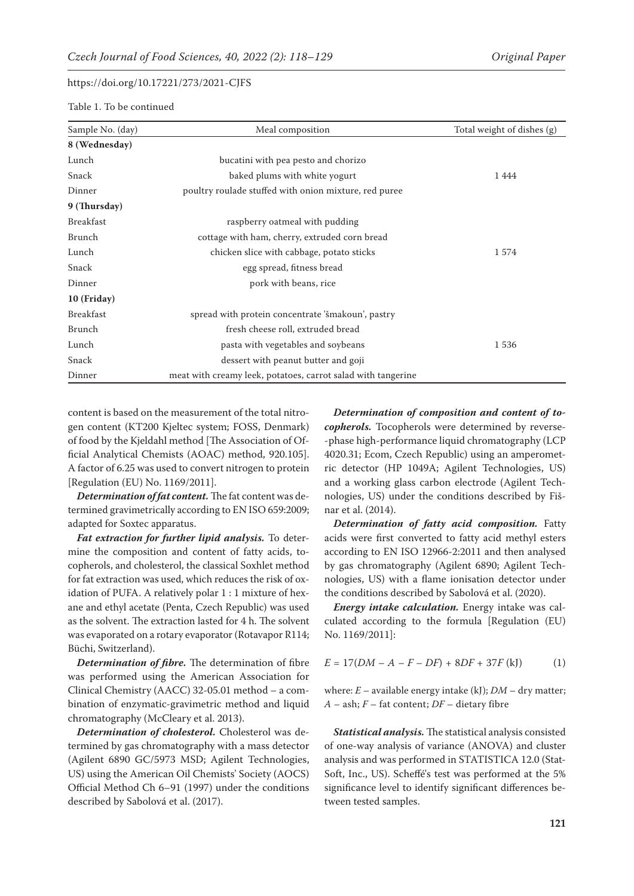Table 1. To be continued

| Sample No. (day) | Meal composition                                             | Total weight of dishes (g) |
|------------------|--------------------------------------------------------------|----------------------------|
| 8 (Wednesday)    |                                                              |                            |
| Lunch            | bucatini with pea pesto and chorizo                          |                            |
| Snack            | baked plums with white yogurt                                | 1444                       |
| Dinner           | poultry roulade stuffed with onion mixture, red puree        |                            |
| 9 (Thursday)     |                                                              |                            |
| <b>Breakfast</b> | raspberry oatmeal with pudding                               |                            |
| Brunch           | cottage with ham, cherry, extruded corn bread                |                            |
| Lunch            | chicken slice with cabbage, potato sticks                    | 1574                       |
| Snack            | egg spread, fitness bread                                    |                            |
| Dinner           | pork with beans, rice                                        |                            |
| 10 (Friday)      |                                                              |                            |
| <b>Breakfast</b> | spread with protein concentrate 'šmakoun', pastry            |                            |
| Brunch           | fresh cheese roll, extruded bread                            |                            |
| Lunch            | pasta with vegetables and soybeans                           | 1536                       |
| Snack            | dessert with peanut butter and goji                          |                            |
| Dinner           | meat with creamy leek, potatoes, carrot salad with tangerine |                            |

content is based on the measurement of the total nitrogen content (KT200 Kjeltec system; FOSS, Denmark) of food by the Kjeldahl method [The Association of Official Analytical Chemists (AOAC) method, 920.105]. A factor of 6.25 was used to convert nitrogen to protein [Regulation (EU) No. 1169/2011].

*Determination of fat content.* The fat content was determined gravimetrically according to EN ISO 659:2009; adapted for Soxtec apparatus.

*Fat extraction for further lipid analysis.* To determine the composition and content of fatty acids, tocopherols, and cholesterol, the classical Soxhlet method for fat extraction was used, which reduces the risk of oxidation of PUFA. A relatively polar 1 : 1 mixture of hexane and ethyl acetate (Penta, Czech Republic) was used as the solvent. The extraction lasted for 4 h. The solvent was evaporated on a rotary evaporator (Rotavapor R114; Büchi, Switzerland).

*Determination of fibre.* The determination of fibre was performed using the American Association for Clinical Chemistry (AACC) 32-05.01 method – a combination of enzymatic-gravimetric method and liquid chromatography (McCleary et al. 2013).

*Determination of cholesterol.* Cholesterol was determined by gas chromatography with a mass detector (Agilent 6890 GC/5973 MSD; Agilent Technologies, US) using the American Oil Chemists' Society (AOCS) Official Method Ch 6–91 (1997) under the conditions described by Sabolová et al. (2017).

*Determination of composition and content of tocopherols.* Tocopherols were determined by reverse- -phase high-performance liquid chromatography (LCP 4020.31; Ecom, Czech Republic) using an amperometric detector (HP 1049A; Agilent Technologies, US) and a working glass carbon electrode (Agilent Technologies, US) under the conditions described by Fišnar et al. (2014).

*Determination of fatty acid composition.* Fatty acids were first converted to fatty acid methyl esters according to EN ISO 12966-2:2011 and then analysed by gas chromatography (Agilent 6890; Agilent Technologies, US) with a flame ionisation detector under the conditions described by Sabolová et al. (2020).

*Energy intake calculation.* Energy intake was calculated according to the formula [Regulation (EU) No. 1169/2011]:

$$
E = 17(DM - A - F - DF) + 8DF + 37F \text{ (kJ)} \tag{1}
$$

where:  $E$  – available energy intake (kJ);  $DM$  – dry matter; *A* – ash; *F* – fat content; *DF* – dietary fibre

*Statistical analysis.* The statistical analysis consisted of one-way analysis of variance (ANOVA) and cluster analysis and was performed in STATISTICA 12.0 (Stat-Soft, Inc., US). Scheffé's test was performed at the 5% significance level to identify significant differences between tested samples.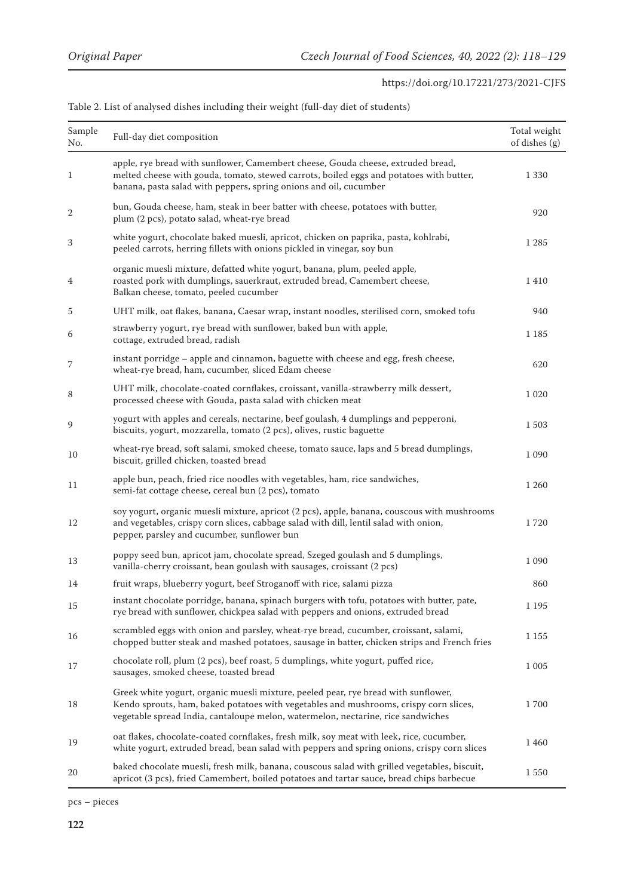| Sample<br>No.  | Full-day diet composition                                                                                                                                                                                                                                       | Total weight<br>of dishes (g) |
|----------------|-----------------------------------------------------------------------------------------------------------------------------------------------------------------------------------------------------------------------------------------------------------------|-------------------------------|
| 1              | apple, rye bread with sunflower, Camembert cheese, Gouda cheese, extruded bread,<br>melted cheese with gouda, tomato, stewed carrots, boiled eggs and potatoes with butter,<br>banana, pasta salad with peppers, spring onions and oil, cucumber                | 1 3 3 0                       |
| $\overline{2}$ | bun, Gouda cheese, ham, steak in beer batter with cheese, potatoes with butter,<br>plum (2 pcs), potato salad, wheat-rye bread                                                                                                                                  | 920                           |
| 3              | white yogurt, chocolate baked muesli, apricot, chicken on paprika, pasta, kohlrabi,<br>peeled carrots, herring fillets with onions pickled in vinegar, soy bun                                                                                                  | 1 2 8 5                       |
| 4              | organic muesli mixture, defatted white yogurt, banana, plum, peeled apple,<br>roasted pork with dumplings, sauerkraut, extruded bread, Camembert cheese,<br>Balkan cheese, tomato, peeled cucumber                                                              | 1410                          |
| 5              | UHT milk, oat flakes, banana, Caesar wrap, instant noodles, sterilised corn, smoked tofu                                                                                                                                                                        | 940                           |
| 6              | strawberry yogurt, rye bread with sunflower, baked bun with apple,<br>cottage, extruded bread, radish                                                                                                                                                           | 1 1 8 5                       |
| 7              | instant porridge - apple and cinnamon, baguette with cheese and egg, fresh cheese,<br>wheat-rye bread, ham, cucumber, sliced Edam cheese                                                                                                                        | 620                           |
| 8              | UHT milk, chocolate-coated cornflakes, croissant, vanilla-strawberry milk dessert,<br>processed cheese with Gouda, pasta salad with chicken meat                                                                                                                | 1 0 2 0                       |
| 9              | yogurt with apples and cereals, nectarine, beef goulash, 4 dumplings and pepperoni,<br>biscuits, yogurt, mozzarella, tomato (2 pcs), olives, rustic baguette                                                                                                    | 1503                          |
| 10             | wheat-rye bread, soft salami, smoked cheese, tomato sauce, laps and 5 bread dumplings,<br>biscuit, grilled chicken, toasted bread                                                                                                                               | 1 0 9 0                       |
| 11             | apple bun, peach, fried rice noodles with vegetables, ham, rice sandwiches,<br>semi-fat cottage cheese, cereal bun (2 pcs), tomato                                                                                                                              | 1 2 6 0                       |
| 12             | soy yogurt, organic muesli mixture, apricot (2 pcs), apple, banana, couscous with mushrooms<br>and vegetables, crispy corn slices, cabbage salad with dill, lentil salad with onion,<br>pepper, parsley and cucumber, sunflower bun                             | 1720                          |
| 13             | poppy seed bun, apricot jam, chocolate spread, Szeged goulash and 5 dumplings,<br>vanilla-cherry croissant, bean goulash with sausages, croissant (2 pcs)                                                                                                       | 1 0 9 0                       |
| 14             | fruit wraps, blueberry yogurt, beef Stroganoff with rice, salami pizza                                                                                                                                                                                          | 860                           |
| 15             | instant chocolate porridge, banana, spinach burgers with tofu, potatoes with butter, pate,<br>rye bread with sunflower, chickpea salad with peppers and onions, extruded bread                                                                                  | 1 1 9 5                       |
| 16             | scrambled eggs with onion and parsley, wheat-rye bread, cucumber, croissant, salami,<br>chopped butter steak and mashed potatoes, sausage in batter, chicken strips and French fries                                                                            | 1 1 5 5                       |
| 17             | chocolate roll, plum (2 pcs), beef roast, 5 dumplings, white yogurt, puffed rice,<br>sausages, smoked cheese, toasted bread                                                                                                                                     | 1 0 0 5                       |
| 18             | Greek white yogurt, organic muesli mixture, peeled pear, rye bread with sunflower,<br>Kendo sprouts, ham, baked potatoes with vegetables and mushrooms, crispy corn slices,<br>vegetable spread India, cantaloupe melon, watermelon, nectarine, rice sandwiches | 1700                          |
| 19             | oat flakes, chocolate-coated cornflakes, fresh milk, soy meat with leek, rice, cucumber,<br>white yogurt, extruded bread, bean salad with peppers and spring onions, crispy corn slices                                                                         | 1460                          |
| 20             | baked chocolate muesli, fresh milk, banana, couscous salad with grilled vegetables, biscuit,<br>apricot (3 pcs), fried Camembert, boiled potatoes and tartar sauce, bread chips barbecue                                                                        | 1550                          |

| Table 2. List of analysed dishes including their weight (full-day diet of students) |  |
|-------------------------------------------------------------------------------------|--|
|-------------------------------------------------------------------------------------|--|

pcs – pieces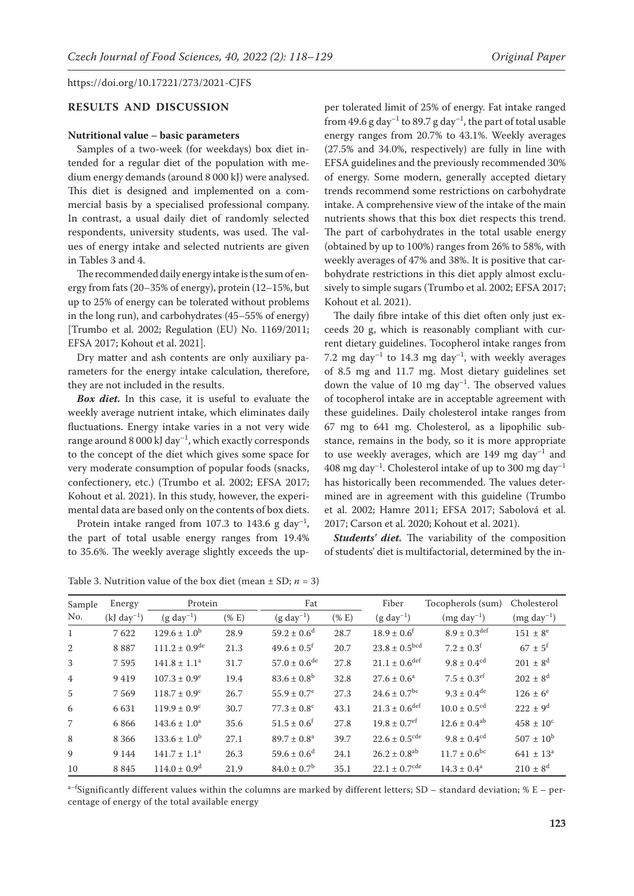## **RESULTS AND DISCUSSION**

#### **Nutritional value – basic parameters**

Samples of a two-week (for weekdays) box diet intended for a regular diet of the population with medium energy demands (around 8 000 kJ) were analysed. This diet is designed and implemented on a commercial basis by a specialised professional company. In contrast, a usual daily diet of randomly selected respondents, university students, was used. The values of energy intake and selected nutrients are given in Tables 3 and 4.

The recommended daily energy intake is the sum of energy from fats (20–35% of energy), protein (12–15%, but up to 25% of energy can be tolerated without problems in the long run), and carbohydrates (45–55% of energy) [Trumbo et al. 2002; Regulation (EU) No. 1169/2011; EFSA 2017; Kohout et al. 2021].

Dry matter and ash contents are only auxiliary parameters for the energy intake calculation, therefore, they are not included in the results.

*Box diet.* In this case, it is useful to evaluate the weekly average nutrient intake, which eliminates daily fluctuations. Energy intake varies in a not very wide range around 8 000 kJ day<sup>-1</sup>, which exactly corresponds to the concept of the diet which gives some space for very moderate consumption of popular foods (snacks, confectionery, etc.) (Trumbo et al. 2002; EFSA 2017; Kohout et al. 2021). In this study, however, the experimental data are based only on the contents of box diets.

Protein intake ranged from 107.3 to 143.6 g day<sup>-1</sup>, the part of total usable energy ranges from 19.4% to 35.6%. The weekly average slightly exceeds the up-

per tolerated limit of 25% of energy. Fat intake ranged from 49.6 g day<sup>-1</sup> to 89.7 g day<sup>-1</sup>, the part of total usable energy ranges from 20.7% to 43.1%. Weekly averages (27.5% and 34.0%, respectively) are fully in line with EFSA guidelines and the previously recommended 30% of energy. Some modern, generally accepted dietary trends recommend some restrictions on carbohydrate intake. A comprehensive view of the intake of the main nutrients shows that this box diet respects this trend. The part of carbohydrates in the total usable energy (obtained by up to 100%) ranges from 26% to 58%, with weekly averages of 47% and 38%. It is positive that carbohydrate restrictions in this diet apply almost exclusively to simple sugars (Trumbo et al. 2002; EFSA 2017; Kohout et al. 2021).

The daily fibre intake of this diet often only just exceeds 20 g, which is reasonably compliant with current dietary guidelines. Tocopherol intake ranges from 7.2 mg  $day^{-1}$  to 14.3 mg  $day^{-1}$ , with weekly averages of 8.5 mg and 11.7 mg. Most dietary guidelines set down the value of 10 mg  $day^{-1}$ . The observed values of tocopherol intake are in acceptable agreement with these guidelines. Daily cholesterol intake ranges from 67 mg to 641 mg. Cholesterol, as a lipophilic substance, remains in the body, so it is more appropriate to use weekly averages, which are  $149$  mg  $day^{-1}$  and 408 mg day<sup>-1</sup>. Cholesterol intake of up to 300 mg day<sup>-1</sup> has historically been recommended. The values determined are in agreement with this guideline (Trumbo et al. 2002; Hamre 2011; EFSA 2017; Sabolová et al. 2017; Carson et al. 2020; Kohout et al. 2021).

*Students' diet.* The variability of the composition of students' diet is multifactorial, determined by the in-

| Sample         | Energy             | Protein                      |          | Fat                         |          | Fiber                        | Tocopherols (sum)            | Cholesterol          |
|----------------|--------------------|------------------------------|----------|-----------------------------|----------|------------------------------|------------------------------|----------------------|
| No.            | $(kJ \, day^{-1})$ | $(g day-1)$                  | $(\% E)$ | $(g day-1)$                 | $(\% E)$ | $(g day-1)$                  | $(mg day-1)$                 | $(mg day^{-1})$      |
| 1              | 7622               | $129.6 \pm 1.0^b$            | 28.9     | $59.2 \pm 0.6^{\rm d}$      | 28.7     | $18.9 \pm 0.6$ <sup>t</sup>  | $8.9 \pm 0.3^{\text{def}}$   | $151 \pm 8^e$        |
| 2              | 8887               | $111.2 \pm 0.9^{\text{de}}$  | 21.3     | $49.6 \pm 0.5$ <sup>f</sup> | 20.7     | $23.8 \pm 0.5^{bcd}$         | $7.2 \pm 0.3^f$              | $67 \pm 5^{\rm f}$   |
| 3              | 7595               | $141.8 \pm 1.1^a$            | 31.7     | $57.0 \pm 0.6^{\text{de}}$  | 27.8     | $21.1 \pm 0.6^{\text{def}}$  | $9.8 \pm 0.4^{\text{cd}}$    | $201 \pm 8^{d}$      |
| $\overline{4}$ | 9419               | $107.3 \pm 0.9^e$            | 19.4     | $83.6 \pm 0.8^b$            | 32.8     | $27.6 \pm 0.6^a$             | $7.5 \pm 0.3$ <sup>ef</sup>  | $202 \pm 8^{d}$      |
| 5              | 7569               | $118.7 \pm 0.9^{\circ}$      | 26.7     | $55.9 \pm 0.7$ <sup>e</sup> | 27.3     | $24.6 \pm 0.7$ <sup>bc</sup> | $9.3 \pm 0.4^{\text{de}}$    | $126 \pm 6^e$        |
| 6              | 6631               | $119.9 \pm 0.9^{\circ}$      | 30.7     | $77.3 \pm 0.8^{\circ}$      | 43.1     | $21.3 \pm 0.6^{\text{def}}$  | $10.0 \pm 0.5$ <sup>cd</sup> | $222 \pm 9^d$        |
| 7              | 6866               | $143.6 \pm 1.0^a$            | 35.6     | $51.5 \pm 0.6^f$            | 27.8     | $19.8 \pm 0.7$ <sup>ef</sup> | $12.6 \pm 0.4^{ab}$          | $458 \pm 10^{\circ}$ |
| 8              | 8 3 6 6            | $133.6 \pm 1.0^b$            | 27.1     | $89.7 \pm 0.8^{\text{a}}$   | 39.7     | $22.6 \pm 0.5^{\text{cde}}$  | $9.8 \pm 0.4$ <sup>cd</sup>  | $507 \pm 10^{\rm b}$ |
| 9              | 9 1 4 4            | $141.7 \pm 1.1^a$            | 26.3     | $59.6 \pm 0.6^{\rm d}$      | 24.1     | $26.2 \pm 0.8^{ab}$          | $11.7 \pm 0.6^{bc}$          | $641 \pm 13^a$       |
| 10             | 8 8 4 5            | $114.0 \pm 0.9$ <sup>d</sup> | 21.9     | $84.0 \pm 0.7$ <sup>b</sup> | 35.1     | $22.1 \pm 0.7^{\text{cde}}$  | $14.3 \pm 0.4^a$             | $210 \pm 8^{d}$      |

Table 3. Nutrition value of the box diet (mean  $\pm$  SD;  $n = 3$ )

 $a$ –fSignificantly different values within the columns are marked by different letters; SD – standard deviation; % E – percentage of energy of the total available energy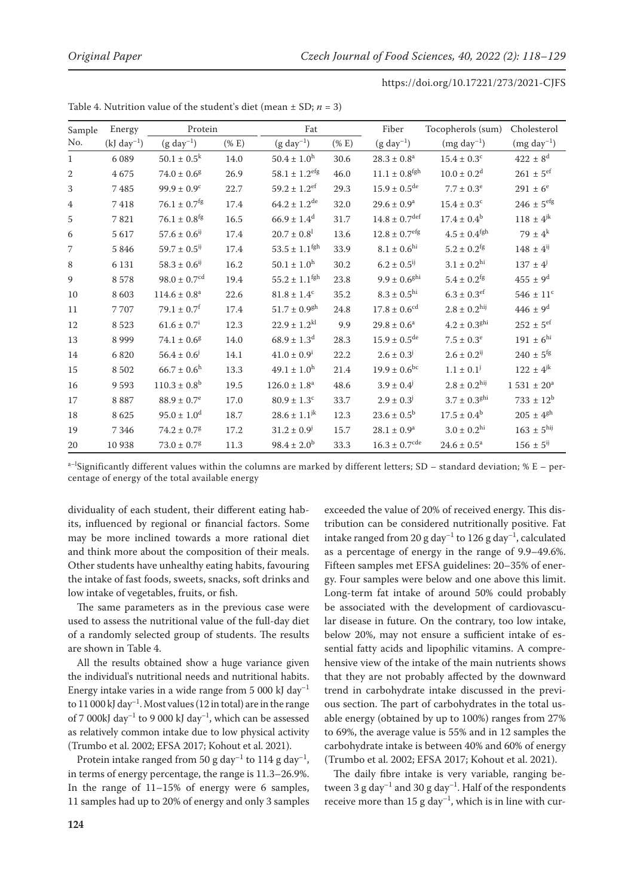| Sample         | Protein<br>Energy  |                                  | Fat        |                               | Fiber      | Tocopherols (sum)             | Cholesterol                  |                           |
|----------------|--------------------|----------------------------------|------------|-------------------------------|------------|-------------------------------|------------------------------|---------------------------|
| No.            | $(kJ \, day^{-1})$ | $(g day-1)$                      | $(%$ (% E) | $(g day-1)$                   | $(%$ (% E) | $(g day-1)$                   | $(mg day^{-1})$              | $(mg day^{-1})$           |
| $\mathbf{1}$   | 6 0 8 9            | $50.1 \pm 0.5^k$                 | 14.0       | $50.4 \pm 1.0^{\rm h}$        | 30.6       | $28.3 \pm 0.8^a$              | $15.4 \pm 0.3^c$             | $422 \pm 8^d$             |
| $\mathbf{2}$   | 4675               | $74.0 \pm 0.6^g$                 | 26.9       | $58.1 \pm 1.2$ <sup>efg</sup> | 46.0       | $11.1 \pm 0.8^\mathrm{fgh}$   | $10.0 \pm 0.2$ <sup>d</sup>  | $261 \pm 5$ <sup>ef</sup> |
| 3              | 7485               | $99.9 \pm 0.9^{\circ}$           | 22.7       | $59.2 \pm 1.2$ <sup>ef</sup>  | 29.3       | $15.9 \pm 0.5^{\text{de}}$    | $7.7 \pm 0.3^e$              | $291 \pm 6^e$             |
| $\overline{4}$ | $7\;418$           | $76.1 \pm 0.7^{\text{fg}}$       | 17.4       | $64.2 \pm 1.2^{\text{de}}$    | 32.0       | $29.6 \pm 0.9^{\rm a}$        | $15.4 \pm 0.3$ <sup>c</sup>  | $246 \pm 5^{\rm efg}$     |
| 5              | 7821               | $76.1 \pm 0.8$ <sup>fg</sup>     | 16.5       | $66.9 \pm 1.4^d$              | 31.7       | $14.8 \pm 0.7^{\text{def}}$   | $17.4 \pm 0.4^b$             | $118 \pm 4^{jk}$          |
| 6              | 5617               | $57.6\pm0.6^{\text{i} \text{j}}$ | 17.4       | $20.7 \pm 0.8^1$              | 13.6       | $12.8 \pm 0.7$ <sup>efg</sup> | $4.5 \pm 0.4$ <sup>fgh</sup> | 79 ± $4^k$                |
| 7              | 5 8 4 6            | $59.7 \pm 0.5^{ij}$              | 17.4       | $53.5 \pm 1.1^{\text{fgh}}$   | 33.9       | $8.1 \pm 0.6^{\rm hi}$        | $5.2 \pm 0.2$ <sup>fg</sup>  | $148 \pm 4^{ij}$          |
| 8              | 6 1 3 1            | $58.3 \pm 0.6^{ij}$              | 16.2       | $50.1 \pm 1.0^{\rm h}$        | 30.2       | $6.2 \pm 0.5^{ij}$            | $3.1\pm0.2^{\text{hi}}$      | $137 \pm 4^{j}$           |
| 9              | 8578               | $98.0 \pm 0.7^{\text{cd}}$       | 19.4       | $55.2 \pm 1.1$ <sup>fgh</sup> | 23.8       | $9.9 \pm 0.6$ <sup>ghi</sup>  | $5.4 \pm 0.2$ <sup>fg</sup>  | $455 \pm 9^d$             |
| 10             | 8603               | $114.6 \pm 0.8^a$                | 22.6       | $81.8 \pm 1.4^c$              | 35.2       | $8.3 \pm 0.5^{\rm hi}$        | $6.3 \pm 0.3$ <sup>ef</sup>  | $546 \pm 11^{\circ}$      |
| 11             | 7707               | $79.1 \pm 0.7^{\rm f}$           | 17.4       | $51.7 \pm 0.9$ <sup>gh</sup>  | 24.8       | $17.8 \pm 0.6$ <sup>cd</sup>  | $2.8 \pm 0.2$ <sup>hij</sup> | $446 \pm 9^d$             |
| 12             | 8 5 2 3            | $61.6 \pm 0.7^i$                 | 12.3       | $22.9 \pm 1.2^{kl}$           | 9.9        | $29.8 \pm 0.6^a$              | $4.2 \pm 0.3^{ghi}$          | $252\,\pm\,5^{\rm ef}$    |
| 13             | 8 9 9 9            | $74.1 \pm 0.6^g$                 | 14.0       | $68.9 \pm 1.3$ <sup>d</sup>   | 28.3       | $15.9 \pm 0.5^{\text{de}}$    | $7.5 \pm 0.3^e$              | $191 \pm 6^{\text{hi}}$   |
| 14             | 6820               | $56.4 \pm 0.6$                   | 14.1       | $41.0 \pm 0.9^{\mathrm{i}}$   | 22.2       | $2.6 \pm 0.3^{j}$             | $2.6 \pm 0.2^{ij}$           | $240\,\pm\,5^\mathrm{fg}$ |
| 15             | 8 5 0 2            | $66.7 \pm 0.6^{\rm h}$           | 13.3       | $49.1 \pm 1.0^{\rm h}$        | 21.4       | $19.9 \pm 0.6^{bc}$           | $1.1 \pm 0.1$ <sup>j</sup>   | $122 \pm 4^{jk}$          |
| 16             | 9593               | $110.3 \pm 0.8$ <sup>b</sup>     | 19.5       | $126.0 \pm 1.8^a$             | 48.6       | $3.9 \pm 0.4^{\circ}$         | $2.8 \pm 0.2$ <sup>hij</sup> | $1\,531\,\pm\,20^{\rm a}$ |
| 17             | 8887               | $88.9 \pm 0.7$ <sup>e</sup>      | 17.0       | $80.9 \pm 1.3$ <sup>c</sup>   | 33.7       | $2.9 \pm 0.3^{j}$             | $3.7 \pm 0.3^{ghi}$          | $733 \pm 12^b$            |
| 18             | 8625               | $95.0 \pm 1.0$ <sup>d</sup>      | 18.7       | $28.6 \pm 1.1^{jk}$           | 12.3       | $23.6 \pm 0.5^{\rm b}$        | $17.5 \pm 0.4^b$             | $205\,\pm\,4^{\rm gh}$    |
| 19             | 7 3 4 6            | $74.2 \pm 0.7$ <sup>g</sup>      | 17.2       | $31.2 \pm 0.9^{j}$            | 15.7       | $28.1\pm0.9^{\rm a}$          | $3.0 \pm 0.2$ <sup>hi</sup>  | $163\,\pm\,5^{\rm hij}$   |
| 20             | 10 938             | $73.0 \pm 0.7$ <sup>g</sup>      | 11.3       | $98.4 \pm 2.0^b$              | 33.3       | $16.3\pm0.7^{\rm cde}$        | $24.6 \pm 0.5^a$             | $156 \pm 5^{ij}$          |

Table 4. Nutrition value of the student's diet (mean  $\pm$  SD;  $n = 3$ )

 $a$ –<sup>1</sup>Significantly different values within the columns are marked by different letters; SD – standard deviation; % E – percentage of energy of the total available energy

dividuality of each student, their different eating habits, influenced by regional or financial factors. Some may be more inclined towards a more rational diet and think more about the composition of their meals. Other students have unhealthy eating habits, favouring the intake of fast foods, sweets, snacks, soft drinks and low intake of vegetables, fruits, or fish.

The same parameters as in the previous case were used to assess the nutritional value of the full-day diet of a randomly selected group of students. The results are shown in Table 4.

All the results obtained show a huge variance given the individual's nutritional needs and nutritional habits. Energy intake varies in a wide range from 5 000 kJ day<sup>-1</sup> to 11 000 kJ day<sup>-1</sup>. Most values (12 in total) are in the range of 7 000kJ day<sup>-1</sup> to 9 000 kJ day<sup>-1</sup>, which can be assessed as relatively common intake due to low physical activity (Trumbo et al. 2002; EFSA 2017; Kohout et al. 2021).

Protein intake ranged from 50 g day<sup>-1</sup> to 114 g day<sup>-1</sup>, in terms of energy percentage, the range is 11.3–26.9%. In the range of  $11-15%$  of energy were 6 samples, 11 samples had up to 20% of energy and only 3 samples

exceeded the value of 20% of received energy. This distribution can be considered nutritionally positive. Fat intake ranged from 20 g day<sup>-1</sup> to 126 g day<sup>-1</sup>, calculated as a percentage of energy in the range of 9.9–49.6%. Fifteen samples met EFSA guidelines: 20–35% of energy. Four samples were below and one above this limit. Long-term fat intake of around 50% could probably be associated with the development of cardiovascular disease in future. On the contrary, too low intake, below 20%, may not ensure a sufficient intake of essential fatty acids and lipophilic vitamins. A comprehensive view of the intake of the main nutrients shows that they are not probably affected by the downward trend in carbohydrate intake discussed in the previous section. The part of carbohydrates in the total usable energy (obtained by up to 100%) ranges from 27% to 69%, the average value is 55% and in 12 samples the carbohydrate intake is between 40% and 60% of energy (Trumbo et al. 2002; EFSA 2017; Kohout et al. 2021).

The daily fibre intake is very variable, ranging between 3 g day<sup>-1</sup> and 30 g day<sup>-1</sup>. Half of the respondents receive more than 15 g day<sup>-1</sup>, which is in line with cur-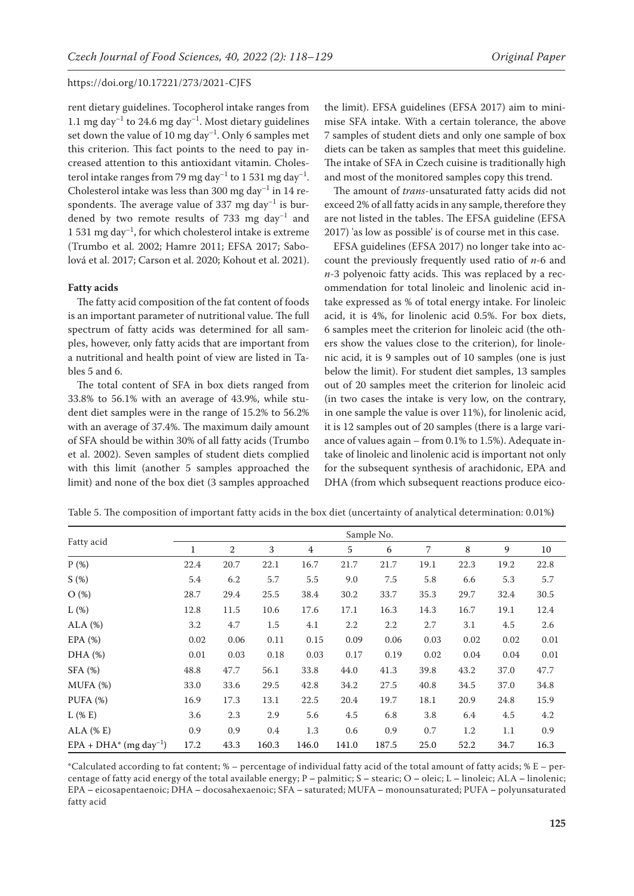rent dietary guidelines. Tocopherol intake ranges from 1.1 mg day<sup>-1</sup> to 24.6 mg day<sup>-1</sup>. Most dietary guidelines set down the value of 10 mg day<sup>-1</sup>. Only 6 samples met this criterion. This fact points to the need to pay increased attention to this antioxidant vitamin. Cholesterol intake ranges from 79 mg day<sup>-1</sup> to 1 531 mg day<sup>-1</sup>. Cholesterol intake was less than 300 mg day $^{-1}$  in 14 respondents. The average value of 337 mg day<sup>-1</sup> is burdened by two remote results of 733 mg  $\text{day}^{-1}$  and 1 531 mg day<sup>-1</sup>, for which cholesterol intake is extreme (Trumbo et al. 2002; Hamre 2011; EFSA 2017; Sabolová et al. 2017; Carson et al. 2020; Kohout et al. 2021).

#### **Fatty acids**

The fatty acid composition of the fat content of foods is an important parameter of nutritional value. The full spectrum of fatty acids was determined for all samples, however, only fatty acids that are important from a nutritional and health point of view are listed in Tables 5 and 6.

The total content of SFA in box diets ranged from 33.8% to 56.1% with an average of 43.9%, while student diet samples were in the range of 15.2% to 56.2% with an average of 37.4%. The maximum daily amount of SFA should be within 30% of all fatty acids (Trumbo et al. 2002). Seven samples of student diets complied with this limit (another 5 samples approached the limit) and none of the box diet (3 samples approached

the limit). EFSA guidelines (EFSA 2017) aim to minimise SFA intake. With a certain tolerance, the above 7 samples of student diets and only one sample of box diets can be taken as samples that meet this guideline. The intake of SFA in Czech cuisine is traditionally high and most of the monitored samples copy this trend.

The amount of *trans*-unsaturated fatty acids did not exceed 2% of all fatty acids in any sample, therefore they are not listed in the tables. The EFSA guideline (EFSA 2017) 'as low as possible' is of course met in this case.

EFSA guidelines (EFSA 2017) no longer take into account the previously frequently used ratio of *n*-6 and *n*-3 polyenoic fatty acids. This was replaced by a recommendation for total linoleic and linolenic acid intake expressed as % of total energy intake. For linoleic acid, it is 4%, for linolenic acid 0.5%. For box diets, 6 samples meet the criterion for linoleic acid (the others show the values close to the criterion), for linolenic acid, it is 9 samples out of 10 samples (one is just below the limit). For student diet samples, 13 samples out of 20 samples meet the criterion for linoleic acid (in two cases the intake is very low, on the contrary, in one sample the value is over 11%), for linolenic acid, it is 12 samples out of 20 samples (there is a large variance of values again – from 0.1% to 1.5%). Adequate intake of linoleic and linolenic acid is important not only for the subsequent synthesis of arachidonic, EPA and DHA (from which subsequent reactions produce eico-

|                                       | Sample No.   |              |       |       |       |       |      |      |      |      |  |
|---------------------------------------|--------------|--------------|-------|-------|-------|-------|------|------|------|------|--|
| Fatty acid                            | $\mathbf{1}$ | $\mathbf{2}$ | 3     | 4     | 5     | 6     | 7    | 8    | 9    | 10   |  |
| P(%)                                  | 22.4         | 20.7         | 22.1  | 16.7  | 21.7  | 21.7  | 19.1 | 22.3 | 19.2 | 22.8 |  |
| S(%)                                  | 5.4          | 6.2          | 5.7   | 5.5   | 9.0   | 7.5   | 5.8  | 6.6  | 5.3  | 5.7  |  |
| O(%)                                  | 28.7         | 29.4         | 25.5  | 38.4  | 30.2  | 33.7  | 35.3 | 29.7 | 32.4 | 30.5 |  |
| $L(\%)$                               | 12.8         | 11.5         | 10.6  | 17.6  | 17.1  | 16.3  | 14.3 | 16.7 | 19.1 | 12.4 |  |
| $ALA$ $(\%)$                          | 3.2          | 4.7          | 1.5   | 4.1   | 2.2   | 2.2   | 2.7  | 3.1  | 4.5  | 2.6  |  |
| EPA $(%)$                             | 0.02         | 0.06         | 0.11  | 0.15  | 0.09  | 0.06  | 0.03 | 0.02 | 0.02 | 0.01 |  |
| DHA (%)                               | 0.01         | 0.03         | 0.18  | 0.03  | 0.17  | 0.19  | 0.02 | 0.04 | 0.04 | 0.01 |  |
| SFA(%)                                | 48.8         | 47.7         | 56.1  | 33.8  | 44.0  | 41.3  | 39.8 | 43.2 | 37.0 | 47.7 |  |
| MUFA(%)                               | 33.0         | 33.6         | 29.5  | 42.8  | 34.2  | 27.5  | 40.8 | 34.5 | 37.0 | 34.8 |  |
| PUFA(%)                               | 16.9         | 17.3         | 13.1  | 22.5  | 20.4  | 19.7  | 18.1 | 20.9 | 24.8 | 15.9 |  |
| $L$ (% E)                             | 3.6          | 2.3          | 2.9   | 5.6   | 4.5   | 6.8   | 3.8  | 6.4  | 4.5  | 4.2  |  |
| $ALA$ (% E)                           | 0.9          | 0.9          | 0.4   | 1.3   | 0.6   | 0.9   | 0.7  | 1.2  | 1.1  | 0.9  |  |
| $EPA + DHA^*$ (mg day <sup>-1</sup> ) | 17.2         | 43.3         | 160.3 | 146.0 | 141.0 | 187.5 | 25.0 | 52.2 | 34.7 | 16.3 |  |

Table 5. The composition of important fatty acids in the box diet (uncertainty of analytical determination: 0.01%**)**

\*Calculated according to fat content; % – percentage of individual fatty acid of the total amount of fatty acids; % E – percentage of fatty acid energy of the total available energy; P **–** palmitic; S **–** stearic; O **–** oleic; L **–** linoleic; ALA **–** linolenic; EPA **–** eicosapentaenoic; DHA **–** docosahexaenoic; SFA **–** saturated; MUFA **–** monounsaturated; PUFA **–** polyunsaturated fatty acid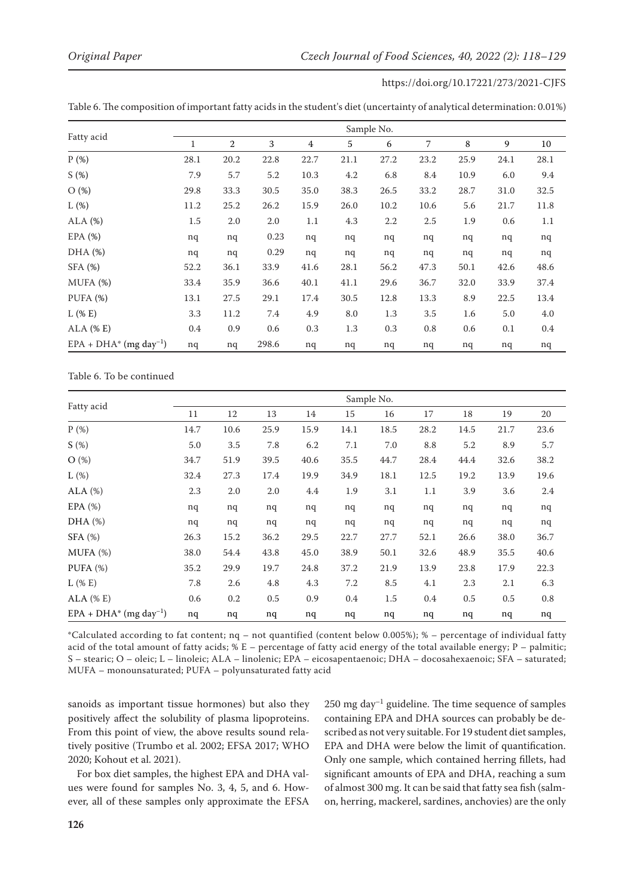Table 6. The composition of important fatty acids in the student's diet (uncertainty of analytical determination: 0.01%)

|                                      | Sample No. |      |       |                |      |      |      |      |      |      |  |
|--------------------------------------|------------|------|-------|----------------|------|------|------|------|------|------|--|
| Fatty acid                           | 1          | 2    | 3     | $\overline{4}$ | 5    | 6    | 7    | 8    | 9    | 10   |  |
| P(%)                                 | 28.1       | 20.2 | 22.8  | 22.7           | 21.1 | 27.2 | 23.2 | 25.9 | 24.1 | 28.1 |  |
| S(%)                                 | 7.9        | 5.7  | 5.2   | 10.3           | 4.2  | 6.8  | 8.4  | 10.9 | 6.0  | 9.4  |  |
| O(%)                                 | 29.8       | 33.3 | 30.5  | 35.0           | 38.3 | 26.5 | 33.2 | 28.7 | 31.0 | 32.5 |  |
| L(%)                                 | 11.2       | 25.2 | 26.2  | 15.9           | 26.0 | 10.2 | 10.6 | 5.6  | 21.7 | 11.8 |  |
| ALA (%)                              | 1.5        | 2.0  | 2.0   | 1.1            | 4.3  | 2.2  | 2.5  | 1.9  | 0.6  | 1.1  |  |
| EPA(%)                               | nq         | nq   | 0.23  | nq             | nq   | nq   | nq   | nq   | nq   | nq   |  |
| DHA (%)                              | nq         | nq   | 0.29  | nq             | nq   | nq   | nq   | nq   | nq   | nq   |  |
| SFA (%)                              | 52.2       | 36.1 | 33.9  | 41.6           | 28.1 | 56.2 | 47.3 | 50.1 | 42.6 | 48.6 |  |
| MUFA (%)                             | 33.4       | 35.9 | 36.6  | 40.1           | 41.1 | 29.6 | 36.7 | 32.0 | 33.9 | 37.4 |  |
| PUFA(%)                              | 13.1       | 27.5 | 29.1  | 17.4           | 30.5 | 12.8 | 13.3 | 8.9  | 22.5 | 13.4 |  |
| $L$ (% E)                            | 3.3        | 11.2 | 7.4   | 4.9            | 8.0  | 1.3  | 3.5  | 1.6  | 5.0  | 4.0  |  |
| ALA $($ % $E)$                       | 0.4        | 0.9  | 0.6   | 0.3            | 1.3  | 0.3  | 0.8  | 0.6  | 0.1  | 0.4  |  |
| $EPA + DHA*$ (mg day <sup>-1</sup> ) | nq         | nq   | 298.6 | nq             | nq   | nq   | nq   | nq   | nq   | nq   |  |

Table 6. To be continued

|                                       | Sample No. |      |      |      |      |      |      |      |      |      |
|---------------------------------------|------------|------|------|------|------|------|------|------|------|------|
| Fatty acid                            | 11         | 12   | 13   | 14   | 15   | 16   | 17   | 18   | 19   | 20   |
| P(%)                                  | 14.7       | 10.6 | 25.9 | 15.9 | 14.1 | 18.5 | 28.2 | 14.5 | 21.7 | 23.6 |
| S(%)                                  | 5.0        | 3.5  | 7.8  | 6.2  | 7.1  | 7.0  | 8.8  | 5.2  | 8.9  | 5.7  |
| O(%)                                  | 34.7       | 51.9 | 39.5 | 40.6 | 35.5 | 44.7 | 28.4 | 44.4 | 32.6 | 38.2 |
| $L(\%)$                               | 32.4       | 27.3 | 17.4 | 19.9 | 34.9 | 18.1 | 12.5 | 19.2 | 13.9 | 19.6 |
| ALA $(%)$                             | 2.3        | 2.0  | 2.0  | 4.4  | 1.9  | 3.1  | 1.1  | 3.9  | 3.6  | 2.4  |
| EPA $(\%)$                            | nq         | nq   | nq   | nq   | nq   | nq   | nq   | nq   | nq   | nq   |
| DHA (%)                               | nq         | nq   | nq   | nq   | nq   | nq   | nq   | nq   | nq   | nq   |
| $SFA$ (%)                             | 26.3       | 15.2 | 36.2 | 29.5 | 22.7 | 27.7 | 52.1 | 26.6 | 38.0 | 36.7 |
| $MUPA$ $%$                            | 38.0       | 54.4 | 43.8 | 45.0 | 38.9 | 50.1 | 32.6 | 48.9 | 35.5 | 40.6 |
| PUFA $(%)$                            | 35.2       | 29.9 | 19.7 | 24.8 | 37.2 | 21.9 | 13.9 | 23.8 | 17.9 | 22.3 |
| $L$ (% E)                             | 7.8        | 2.6  | 4.8  | 4.3  | 7.2  | 8.5  | 4.1  | 2.3  | 2.1  | 6.3  |
| $ALA$ (% E)                           | 0.6        | 0.2  | 0.5  | 0.9  | 0.4  | 1.5  | 0.4  | 0.5  | 0.5  | 0.8  |
| $EPA + DHA^*$ (mg day <sup>-1</sup> ) | nq         | nq   | nq   | nq   | nq   | nq   | nq   | nq   | nq   | nq   |

\*Calculated according to fat content; nq – not quantified (content below 0.005%); % – percentage of individual fatty acid of the total amount of fatty acids;  $% E$  – percentage of fatty acid energy of the total available energy;  $P$  – palmitic; S – stearic; O – oleic; L – linoleic; ALA – linolenic; EPA – eicosapentaenoic; DHA – docosahexaenoic; SFA – saturated; MUFA – monounsaturated; PUFA – polyunsaturated fatty acid

sanoids as important tissue hormones) but also they positively affect the solubility of plasma lipoproteins. From this point of view, the above results sound relatively positive (Trumbo et al. 2002; EFSA 2017; WHO 2020; Kohout et al. 2021).

For box diet samples, the highest EPA and DHA values were found for samples No. 3, 4, 5, and 6. However, all of these samples only approximate the EFSA  $250$  mg day<sup>-1</sup> guideline. The time sequence of samples containing EPA and DHA sources can probably be described as not very suitable. For 19 student diet samples, EPA and DHA were below the limit of quantification. Only one sample, which contained herring fillets, had significant amounts of EPA and DHA, reaching a sum of almost 300 mg. It can be said that fatty sea fish (salmon, herring, mackerel, sardines, anchovies) are the only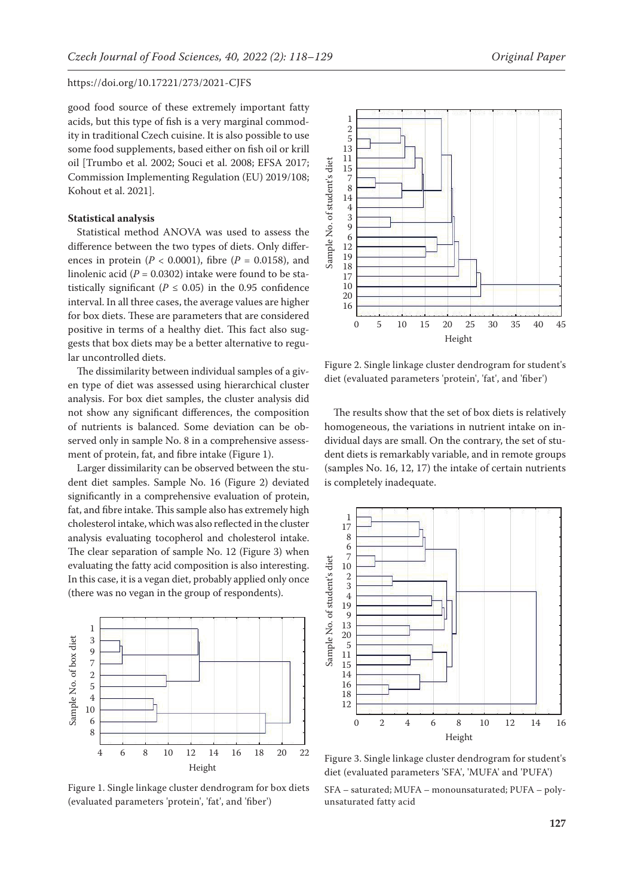good food source of these extremely important fatty acids, but this type of fish is a very marginal commodity in traditional Czech cuisine. It is also possible to use some food supplements, based either on fish oil or krill oil [Trumbo et al. 2002; Souci et al. 2008; EFSA 2017; Commission Implementing Regulation (EU) 2019/108; Kohout et al. 2021].

#### **Statistical analysis**

Statistical method ANOVA was used to assess the difference between the two types of diets. Only differences in protein  $(P < 0.0001)$ , fibre  $(P = 0.0158)$ , and linolenic acid  $(P = 0.0302)$  intake were found to be statistically significant ( $P \le 0.05$ ) in the 0.95 confidence interval. In all three cases, the average values are higher for box diets. These are parameters that are considered positive in terms of a healthy diet. This fact also suggests that box diets may be a better alternative to regular uncontrolled diets.

The dissimilarity between individual samples of a given type of diet was assessed using hierarchical cluster analysis. For box diet samples, the cluster analysis did not show any significant differences, the composition of nutrients is balanced. Some deviation can be observed only in sample No. 8 in a comprehensive assessment of protein, fat, and fibre intake (Figure 1).

Larger dissimilarity can be observed between the student diet samples. Sample No. 16 (Figure 2) deviated significantly in a comprehensive evaluation of protein, fat, and fibre intake. This sample also has extremely high cholesterol intake, which was also reflected in the cluster analysis evaluating tocopherol and cholesterol intake. The clear separation of sample No. 12 (Figure 3) when evaluating the fatty acid composition is also interesting. In this case, it is a vegan diet, probably applied only once (there was no vegan in the group of respondents).



Figure 1. Single linkage cluster dendrogram for box diets (evaluated parameters 'protein', 'fat', and 'fiber')



Figure 2. Single linkage cluster dendrogram for student's diet (evaluated parameters 'protein', 'fat', and 'fiber')

The results show that the set of box diets is relatively homogeneous, the variations in nutrient intake on individual days are small. On the contrary, the set of student diets is remarkably variable, and in remote groups (samples No. 16, 12, 17) the intake of certain nutrients is completely inadequate.



Figure 3. Single linkage cluster dendrogram for student's diet (evaluated parameters 'SFA', 'MUFA' and 'PUFA')

SFA – saturated; MUFA – monounsaturated; PUFA – polyunsaturated fatty acid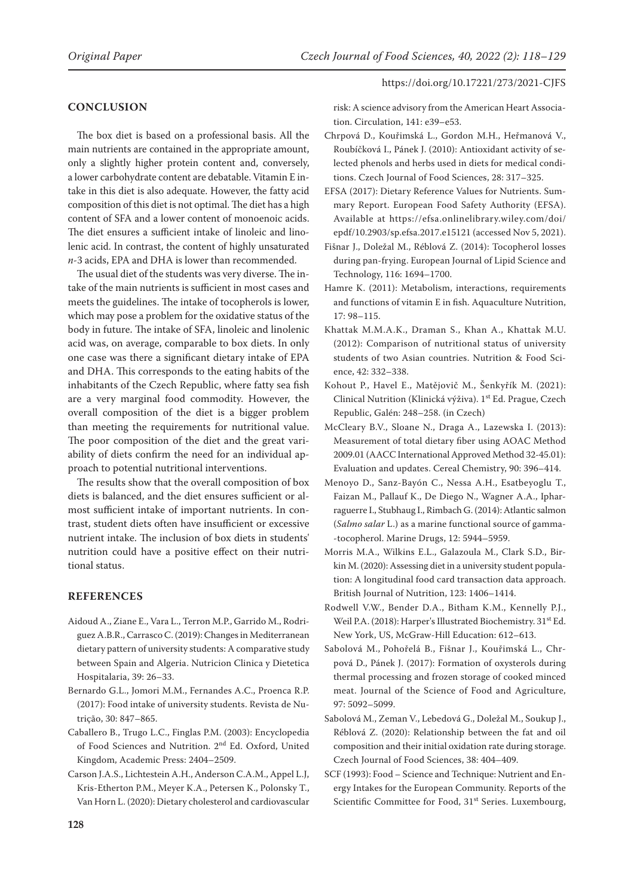#### **CONCLUSION**

The box diet is based on a professional basis. All the main nutrients are contained in the appropriate amount, only a slightly higher protein content and, conversely, a lower carbohydrate content are debatable. Vitamin E intake in this diet is also adequate. However, the fatty acid composition of this diet is not optimal. The diet has a high content of SFA and a lower content of monoenoic acids. The diet ensures a sufficient intake of linoleic and linolenic acid. In contrast, the content of highly unsaturated *n*-3 acids, EPA and DHA is lower than recommended.

The usual diet of the students was very diverse. The intake of the main nutrients is sufficient in most cases and meets the guidelines. The intake of tocopherols is lower, which may pose a problem for the oxidative status of the body in future. The intake of SFA, linoleic and linolenic acid was, on average, comparable to box diets. In only one case was there a significant dietary intake of EPA and DHA. This corresponds to the eating habits of the inhabitants of the Czech Republic, where fatty sea fish are a very marginal food commodity. However, the overall composition of the diet is a bigger problem than meeting the requirements for nutritional value. The poor composition of the diet and the great variability of diets confirm the need for an individual approach to potential nutritional interventions.

The results show that the overall composition of box diets is balanced, and the diet ensures sufficient or almost sufficient intake of important nutrients. In contrast, student diets often have insufficient or excessive nutrient intake. The inclusion of box diets in students' nutrition could have a positive effect on their nutritional status.

#### **REFERENCES**

- Aidoud A., Ziane E., Vara L., Terron M.P., Garrido M., Rodriguez A.B.R., Carrasco C. (2019): Changes in Mediterranean dietary pattern of university students: A comparative study between Spain and Algeria. Nutricion Clinica y Dietetica Hospitalaria, 39: 26–33.
- Bernardo G.L., Jomori M.M., Fernandes A.C., Proenca R.P. (2017): Food intake of university students. Revista de Nutrição, 30: 847–865.
- Caballero B., Trugo L.C., Finglas P.M. (2003): Encyclopedia of Food Sciences and Nutrition. 2nd Ed. Oxford, United Kingdom, Academic Press: 2404–2509.
- Carson J.A.S., Lichtestein A.H., Anderson C.A.M., Appel L.J, Kris-Etherton P.M., Meyer K.A., Petersen K., Polonsky T., Van Horn L. (2020): Dietary cholesterol and cardiovascular

risk: A science advisory from the American Heart Association. Circulation, 141: e39–e53.

- Chrpová D., Kouřimská L., Gordon M.H., Heřmanová V., Roubíčková I., Pánek J. (2010): Antioxidant activity of selected phenols and herbs used in diets for medical conditions. Czech Journal of Food Sciences, 28: 317–325.
- EFSA (2017): Dietary Reference Values for Nutrients. Summary Report. European Food Safety Authority (EFSA). Available at https://efsa.onlinelibrary.wiley.com/doi/ epdf/10.2903/sp.efsa.2017.e15121 (accessed Nov 5, 2021).
- Fišnar J., Doležal M., Réblová Z. (2014): Tocopherol losses during pan-frying. European Journal of Lipid Science and Technology, 116: 1694–1700.
- Hamre K. (2011): Metabolism, interactions, requirements and functions of vitamin E in fish. Aquaculture Nutrition, 17: 98–115.
- Khattak M.M.A.K., Draman S., Khan A., Khattak M.U. (2012): Comparison of nutritional status of university students of two Asian countries. Nutrition & Food Science, 42: 332–338.
- Kohout P., Havel E., Matějovič M., Šenkyřík M. (2021): Clinical Nutrition (Klinická výživa). 1<sup>st</sup> Ed. Prague, Czech Republic, Galén: 248–258. (in Czech)
- McCleary B.V., Sloane N., Draga A., Lazewska I. (2013): Measurement of total dietary fiber using AOAC Method 2009.01 (AACC International Approved Method 32-45.01): Evaluation and updates. Cereal Chemistry, 90: 396–414.
- Menoyo D., Sanz-Bayón C., Nessa A.H., Esatbeyoglu T., Faizan M., Pallauf K., De Diego N., Wagner A.A., Ipharraguerre I., Stubhaug I., Rimbach G. (2014): Atlantic salmon (*Salmo salar* L.) as a marine functional source of gamma- -tocopherol. Marine Drugs, 12: 5944–5959.
- Morris M.A., Wilkins E.L., Galazoula M., Clark S.D., Birkin M. (2020): Assessing diet in a university student population: A longitudinal food card transaction data approach. British Journal of Nutrition, 123: 1406–1414.
- Rodwell V.W., Bender D.A., Bitham K.M., Kennelly P.J., Weil P.A. (2018): Harper's Illustrated Biochemistry. 31<sup>st</sup> Ed. New York, US, McGraw-Hill Education: 612–613.
- Sabolová M., Pohořelá B., Fišnar J., Kouřimská L., Chrpová D., Pánek J. (2017): Formation of oxysterols during thermal processing and frozen storage of cooked minced meat. Journal of the Science of Food and Agriculture, 97: 5092–5099.
- Sabolová M., Zeman V., Lebedová G., Doležal M., Soukup J., Réblová Z. (2020): Relationship between the fat and oil composition and their initial oxidation rate during storage. Czech Journal of Food Sciences, 38: 404–409.
- SCF (1993): Food Science and Technique: Nutrient and Energy Intakes for the European Community. Reports of the Scientific Committee for Food, 31<sup>st</sup> Series. Luxembourg,